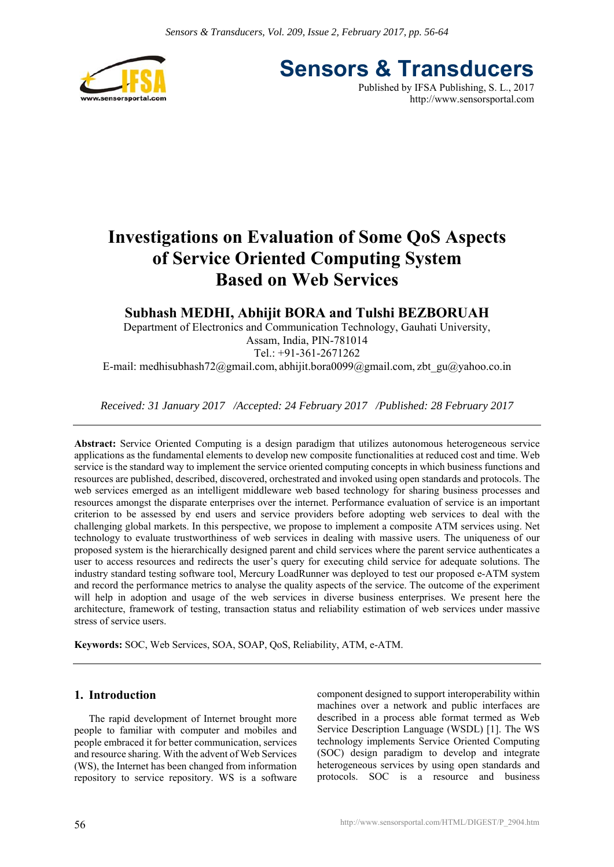

**Sensors & Transducers** Published by IFSA Publishing, S. L., 2017

http://www.sensorsportal.com

# **Investigations on Evaluation of Some QoS Aspects of Service Oriented Computing System Based on Web Services**

# **Subhash MEDHI, Abhijit BORA and Tulshi BEZBORUAH**

Department of Electronics and Communication Technology, Gauhati University, Assam, India, PIN-781014 Tel.: +91-361-2671262

E-mail: medhisubhash72@gmail.com, abhijit.bora0099@gmail.com, zbt\_gu@yahoo.co.in

*Received: 31 January 2017 /Accepted: 24 February 2017 /Published: 28 February 2017* 

**Abstract:** Service Oriented Computing is a design paradigm that utilizes autonomous heterogeneous service applications as the fundamental elements to develop new composite functionalities at reduced cost and time. Web service is the standard way to implement the service oriented computing concepts in which business functions and resources are published, described, discovered, orchestrated and invoked using open standards and protocols. The web services emerged as an intelligent middleware web based technology for sharing business processes and resources amongst the disparate enterprises over the internet. Performance evaluation of service is an important criterion to be assessed by end users and service providers before adopting web services to deal with the challenging global markets. In this perspective, we propose to implement a composite ATM services using. Net technology to evaluate trustworthiness of web services in dealing with massive users. The uniqueness of our proposed system is the hierarchically designed parent and child services where the parent service authenticates a user to access resources and redirects the user's query for executing child service for adequate solutions. The industry standard testing software tool, Mercury LoadRunner was deployed to test our proposed e-ATM system and record the performance metrics to analyse the quality aspects of the service. The outcome of the experiment will help in adoption and usage of the web services in diverse business enterprises. We present here the architecture, framework of testing, transaction status and reliability estimation of web services under massive stress of service users.

**Keywords:** SOC, Web Services, SOA, SOAP, QoS, Reliability, ATM, e-ATM.

# **1. Introduction**

The rapid development of Internet brought more people to familiar with computer and mobiles and people embraced it for better communication, services and resource sharing. With the advent of Web Services (WS), the Internet has been changed from information repository to service repository. WS is a software

component designed to support interoperability within machines over a network and public interfaces are described in a process able format termed as Web Service Description Language (WSDL) [1]. The WS technology implements Service Oriented Computing (SOC) design paradigm to develop and integrate heterogeneous services by using open standards and protocols. SOC is a resource and business

56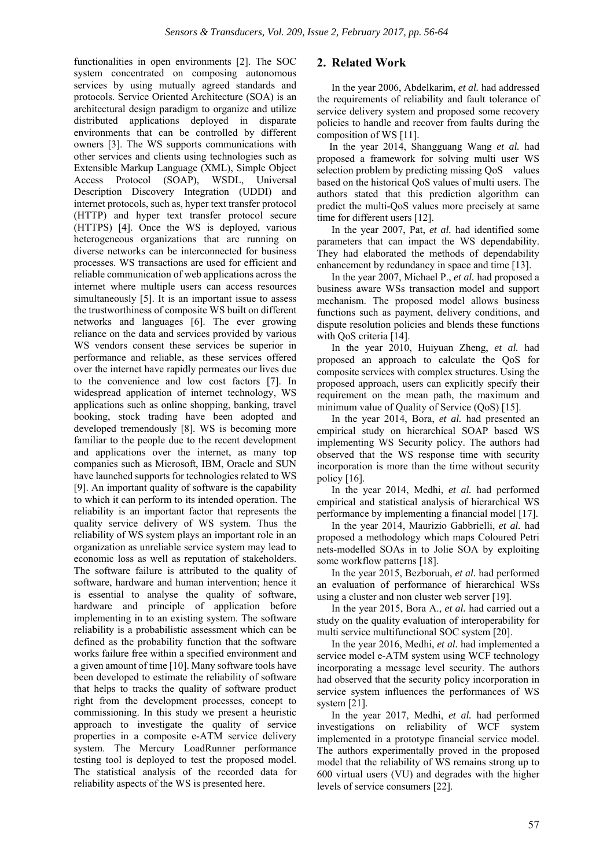functionalities in open environments [2]. The SOC system concentrated on composing autonomous services by using mutually agreed standards and protocols. Service Oriented Architecture (SOA) is an architectural design paradigm to organize and utilize distributed applications deployed in disparate environments that can be controlled by different owners [3]. The WS supports communications with other services and clients using technologies such as Extensible Markup Language (XML), Simple Object Access Protocol (SOAP), WSDL, Universal Description Discovery Integration (UDDI) and internet protocols, such as, hyper text transfer protocol (HTTP) and hyper text transfer protocol secure (HTTPS) [4]. Once the WS is deployed, various heterogeneous organizations that are running on diverse networks can be interconnected for business processes. WS transactions are used for efficient and reliable communication of web applications across the internet where multiple users can access resources simultaneously [5]. It is an important issue to assess the trustworthiness of composite WS built on different networks and languages [6]. The ever growing reliance on the data and services provided by various WS vendors consent these services be superior in performance and reliable, as these services offered over the internet have rapidly permeates our lives due to the convenience and low cost factors [7]. In widespread application of internet technology, WS applications such as online shopping, banking, travel booking, stock trading have been adopted and developed tremendously [8]. WS is becoming more familiar to the people due to the recent development and applications over the internet, as many top companies such as Microsoft, IBM, Oracle and SUN have launched supports for technologies related to WS [9]. An important quality of software is the capability to which it can perform to its intended operation. The reliability is an important factor that represents the quality service delivery of WS system. Thus the reliability of WS system plays an important role in an organization as unreliable service system may lead to economic loss as well as reputation of stakeholders. The software failure is attributed to the quality of software, hardware and human intervention; hence it is essential to analyse the quality of software, hardware and principle of application before implementing in to an existing system. The software reliability is a probabilistic assessment which can be defined as the probability function that the software works failure free within a specified environment and a given amount of time [10]. Many software tools have been developed to estimate the reliability of software that helps to tracks the quality of software product right from the development processes, concept to commissioning. In this study we present a heuristic approach to investigate the quality of service properties in a composite e-ATM service delivery system. The Mercury LoadRunner performance testing tool is deployed to test the proposed model. The statistical analysis of the recorded data for reliability aspects of the WS is presented here.

# **2. Related Work**

In the year 2006, Abdelkarim, *et al.* had addressed the requirements of reliability and fault tolerance of service delivery system and proposed some recovery policies to handle and recover from faults during the composition of WS [11].

In the year 2014, Shangguang Wang *et al.* had proposed a framework for solving multi user WS selection problem by predicting missing QoS values based on the historical QoS values of multi users. The authors stated that this prediction algorithm can predict the multi-QoS values more precisely at same time for different users [12].

In the year 2007, Pat, *et al.* had identified some parameters that can impact the WS dependability. They had elaborated the methods of dependability enhancement by redundancy in space and time [13].

In the year 2007, Michael P., *et al.* had proposed a business aware WSs transaction model and support mechanism. The proposed model allows business functions such as payment, delivery conditions, and dispute resolution policies and blends these functions with QoS criteria [14].

In the year 2010, Huiyuan Zheng, *et al.* had proposed an approach to calculate the QoS for composite services with complex structures. Using the proposed approach, users can explicitly specify their requirement on the mean path, the maximum and minimum value of Quality of Service (QoS) [15].

In the year 2014, Bora, *et al.* had presented an empirical study on hierarchical SOAP based WS implementing WS Security policy. The authors had observed that the WS response time with security incorporation is more than the time without security policy [16].

In the year 2014, Medhi, *et al.* had performed empirical and statistical analysis of hierarchical WS performance by implementing a financial model [17].

In the year 2014, Maurizio Gabbrielli, *et al.* had proposed a methodology which maps Coloured Petri nets-modelled SOAs in to Jolie SOA by exploiting some workflow patterns [18].

In the year 2015, Bezboruah, *et al.* had performed an evaluation of performance of hierarchical WSs using a cluster and non cluster web server [19].

In the year 2015, Bora A., *et al.* had carried out a study on the quality evaluation of interoperability for multi service multifunctional SOC system [20].

In the year 2016, Medhi, *et al.* had implemented a service model e-ATM system using WCF technology incorporating a message level security. The authors had observed that the security policy incorporation in service system influences the performances of WS system [21].

In the year 2017, Medhi, *et al.* had performed investigations on reliability of WCF system implemented in a prototype financial service model. The authors experimentally proved in the proposed model that the reliability of WS remains strong up to 600 virtual users (VU) and degrades with the higher levels of service consumers [22].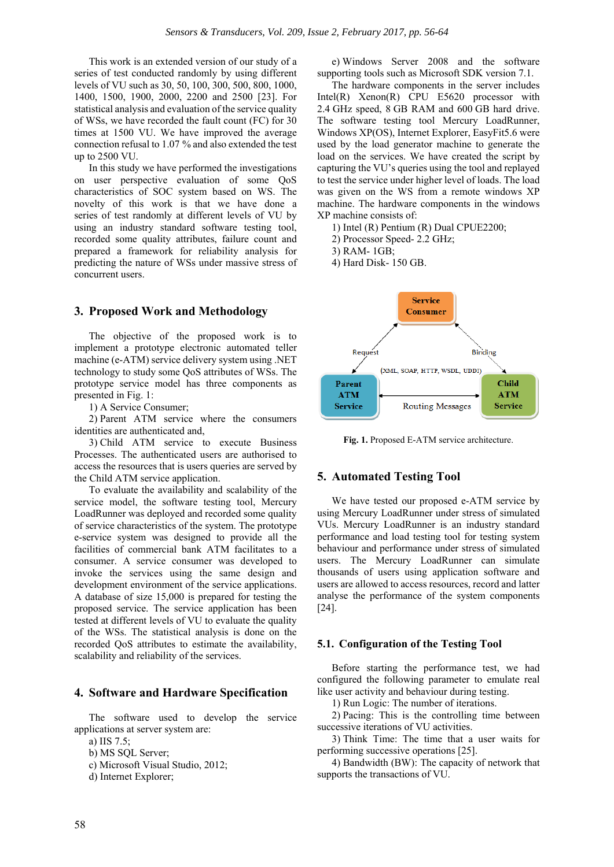This work is an extended version of our study of a series of test conducted randomly by using different levels of VU such as 30, 50, 100, 300, 500, 800, 1000, 1400, 1500, 1900, 2000, 2200 and 2500 [23]. For statistical analysis and evaluation of the service quality of WSs, we have recorded the fault count (FC) for 30 times at 1500 VU. We have improved the average connection refusal to 1.07 % and also extended the test up to 2500 VU.

In this study we have performed the investigations on user perspective evaluation of some QoS characteristics of SOC system based on WS. The novelty of this work is that we have done a series of test randomly at different levels of VU by using an industry standard software testing tool, recorded some quality attributes, failure count and prepared a framework for reliability analysis for predicting the nature of WSs under massive stress of concurrent users.

# **3. Proposed Work and Methodology**

The objective of the proposed work is to implement a prototype electronic automated teller machine (e-ATM) service delivery system using .NET technology to study some QoS attributes of WSs. The prototype service model has three components as presented in Fig. 1:

1) A Service Consumer;

2) Parent ATM service where the consumers identities are authenticated and,

3) Child ATM service to execute Business Processes. The authenticated users are authorised to access the resources that is users queries are served by the Child ATM service application.

To evaluate the availability and scalability of the service model, the software testing tool, Mercury LoadRunner was deployed and recorded some quality of service characteristics of the system. The prototype e-service system was designed to provide all the facilities of commercial bank ATM facilitates to a consumer. A service consumer was developed to invoke the services using the same design and development environment of the service applications. A database of size 15,000 is prepared for testing the proposed service. The service application has been tested at different levels of VU to evaluate the quality of the WSs. The statistical analysis is done on the recorded QoS attributes to estimate the availability, scalability and reliability of the services.

# **4. Software and Hardware Specification**

The software used to develop the service applications at server system are:

a) IIS 7.5;

- b) MS SQL Server;
- c) Microsoft Visual Studio, 2012;

d) Internet Explorer;

e) Windows Server 2008 and the software supporting tools such as Microsoft SDK version 7.1.

The hardware components in the server includes Intel(R) Xenon(R) CPU E5620 processor with 2.4 GHz speed, 8 GB RAM and 600 GB hard drive. The software testing tool Mercury LoadRunner, Windows XP(OS), Internet Explorer, EasyFit5.6 were used by the load generator machine to generate the load on the services. We have created the script by capturing the VU's queries using the tool and replayed to test the service under higher level of loads. The load was given on the WS from a remote windows XP machine. The hardware components in the windows XP machine consists of:

1) Intel (R) Pentium (R) Dual CPUE2200;

2) Processor Speed- 2.2 GHz;

3) RAM- 1GB;

4) Hard Disk- 150 GB.



**Fig. 1.** Proposed E-ATM service architecture.

# **5. Automated Testing Tool**

We have tested our proposed e-ATM service by using Mercury LoadRunner under stress of simulated VUs. Mercury LoadRunner is an industry standard performance and load testing tool for testing system behaviour and performance under stress of simulated users. The Mercury LoadRunner can simulate thousands of users using application software and users are allowed to access resources, record and latter analyse the performance of the system components [24].

#### **5.1. Configuration of the Testing Tool**

Before starting the performance test, we had configured the following parameter to emulate real like user activity and behaviour during testing.

1) Run Logic: The number of iterations.

2) Pacing: This is the controlling time between successive iterations of VU activities.

3) Think Time: The time that a user waits for performing successive operations [25].

4) Bandwidth (BW): The capacity of network that supports the transactions of VU.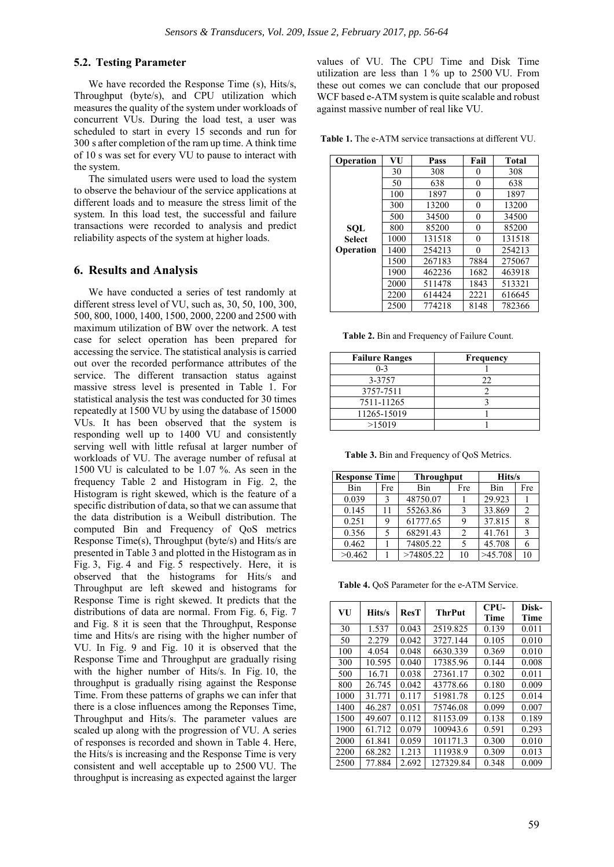#### **5.2. Testing Parameter**

We have recorded the Response Time (s), Hits/s, Throughput (byte/s), and CPU utilization which measures the quality of the system under workloads of concurrent VUs. During the load test, a user was scheduled to start in every 15 seconds and run for 300 s after completion of the ram up time. A think time of 10 s was set for every VU to pause to interact with the system.

The simulated users were used to load the system to observe the behaviour of the service applications at different loads and to measure the stress limit of the system. In this load test, the successful and failure transactions were recorded to analysis and predict reliability aspects of the system at higher loads.

#### **6. Results and Analysis**

We have conducted a series of test randomly at different stress level of VU, such as, 30, 50, 100, 300, 500, 800, 1000, 1400, 1500, 2000, 2200 and 2500 with maximum utilization of BW over the network. A test case for select operation has been prepared for accessing the service. The statistical analysis is carried out over the recorded performance attributes of the service. The different transaction status against massive stress level is presented in Table 1. For statistical analysis the test was conducted for 30 times repeatedly at 1500 VU by using the database of 15000 VUs. It has been observed that the system is responding well up to 1400 VU and consistently serving well with little refusal at larger number of workloads of VU. The average number of refusal at 1500 VU is calculated to be 1.07 %. As seen in the frequency Table 2 and Histogram in Fig. 2, the Histogram is right skewed, which is the feature of a specific distribution of data, so that we can assume that the data distribution is a Weibull distribution. The computed Bin and Frequency of QoS metrics Response Time(s), Throughput (byte/s) and Hits/s are presented in Table 3 and plotted in the Histogram as in Fig. 3, Fig. 4 and Fig. 5 respectively. Here, it is observed that the histograms for Hits/s and Throughput are left skewed and histograms for Response Time is right skewed. It predicts that the distributions of data are normal. From Fig. 6, Fig. 7 and Fig. 8 it is seen that the Throughput, Response time and Hits/s are rising with the higher number of VU. In Fig. 9 and Fig. 10 it is observed that the Response Time and Throughput are gradually rising with the higher number of Hits/s. In Fig. 10, the throughput is gradually rising against the Response Time. From these patterns of graphs we can infer that there is a close influences among the Reponses Time, Throughput and Hits/s. The parameter values are scaled up along with the progression of VU. A series of responses is recorded and shown in Table 4. Here, the Hits/s is increasing and the Response Time is very consistent and well acceptable up to 2500 VU. The throughput is increasing as expected against the larger

values of VU. The CPU Time and Disk Time utilization are less than 1 % up to 2500 VU. From these out comes we can conclude that our proposed WCF based e-ATM system is quite scalable and robust against massive number of real like VU.

**Table 1.** The e-ATM service transactions at different VU.

| Operation        | VU   | Pass   | Fail | <b>Total</b> |
|------------------|------|--------|------|--------------|
|                  | 30   | 308    | 0    | 308          |
|                  | 50   | 638    | 0    | 638          |
|                  | 100  | 1897   | 0    | 1897         |
|                  | 300  | 13200  | 0    | 13200        |
|                  | 500  | 34500  | 0    | 34500        |
| <b>SQL</b>       | 800  | 85200  | 0    | 85200        |
| Select           | 1000 | 131518 | 0    | 131518       |
| <b>Operation</b> | 1400 | 254213 | 0    | 254213       |
|                  | 1500 | 267183 | 7884 | 275067       |
|                  | 1900 | 462236 | 1682 | 463918       |
|                  | 2000 | 511478 | 1843 | 513321       |
|                  | 2200 | 614424 | 2221 | 616645       |
|                  | 2500 | 774218 | 8148 | 782366       |

**Table 2.** Bin and Frequency of Failure Count.

| <b>Failure Ranges</b> | Frequency |
|-----------------------|-----------|
| $0 - 3$               |           |
| 3-3757                | 22        |
| 3757-7511             |           |
| 7511-11265            |           |
| 11265-15019           |           |
| >15019                |           |

**Table 3.** Bin and Frequency of QoS Metrics.

| <b>Response Time</b> |     | <b>Throughput</b> |                | Hits/s  |                |
|----------------------|-----|-------------------|----------------|---------|----------------|
| Bin                  | Fre | Bin               | Fre            | Bin     | Fre            |
| 0.039                | 3   | 48750.07          |                | 29.923  |                |
| 0.145                | 11  | 55263.86          | 3              | 33.869  | $\mathfrak{D}$ |
| 0.251                | 9   | 61777.65          | 9              | 37.815  | 8              |
| 0.356                | 5   | 68291.43          | $\mathfrak{D}$ | 41.761  | $\mathcal{R}$  |
| 0.462                |     | 74805.22          |                | 45.708  |                |
| >0.462               |     | >74805.22         | 10             | >45.708 | 10             |

**Table 4.** QoS Parameter for the e-ATM Service.

| VU   | Hits/s | ResT  | <b>ThrPut</b> | $CPIJ-$<br>Time | Disk-<br><b>Time</b> |
|------|--------|-------|---------------|-----------------|----------------------|
| 30   | 1.537  | 0.043 | 2519.825      | 0.139           | 0.011                |
| 50   | 2.279  | 0.042 | 3727.144      | 0.105           | 0.010                |
| 100  | 4.054  | 0.048 | 6630.339      | 0.369           | 0.010                |
| 300  | 10.595 | 0.040 | 17385.96      | 0.144           | 0.008                |
| 500  | 16.71  | 0.038 | 27361.17      | 0.302           | 0.011                |
| 800  | 26.745 | 0.042 | 43778.66      | 0.180           | 0.009                |
| 1000 | 31.771 | 0.117 | 51981.78      | 0.125           | 0.014                |
| 1400 | 46.287 | 0.051 | 75746.08      | 0.099           | 0.007                |
| 1500 | 49.607 | 0.112 | 81153.09      | 0.138           | 0.189                |
| 1900 | 61.712 | 0.079 | 100943.6      | 0.591           | 0.293                |
| 2000 | 61.841 | 0.059 | 101171.3      | 0.300           | 0.010                |
| 2200 | 68.282 | 1.213 | 111938.9      | 0.309           | 0.013                |
| 2500 | 77.884 | 2.692 | 127329.84     | 0.348           | 0.009                |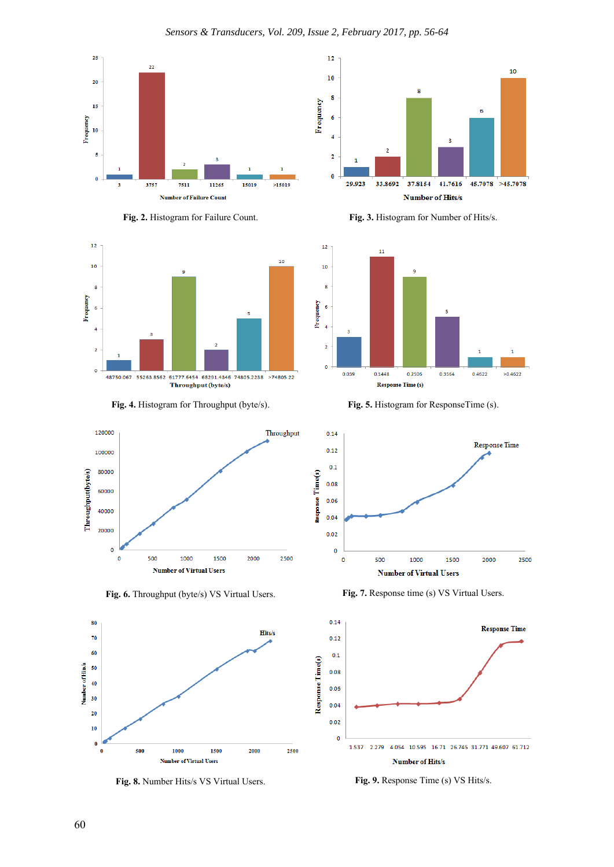









Fig. 6. Throughput (byte/s) VS Virtual Users. **Fig. 7.** Response time (s) VS Virtual Users.



**Fig. 8.** Number Hits/s VS Virtual Users. **Fig. 9.** Response Time (s) VS Hits/s.



**Fig. 2.** Histogram for Failure Count. **Fig. 3.** Histogram for Number of Hits/s.



**Fig. 4.** Histogram for Throughput (byte/s). **Fig. 5.** Histogram for ResponseTime (s).



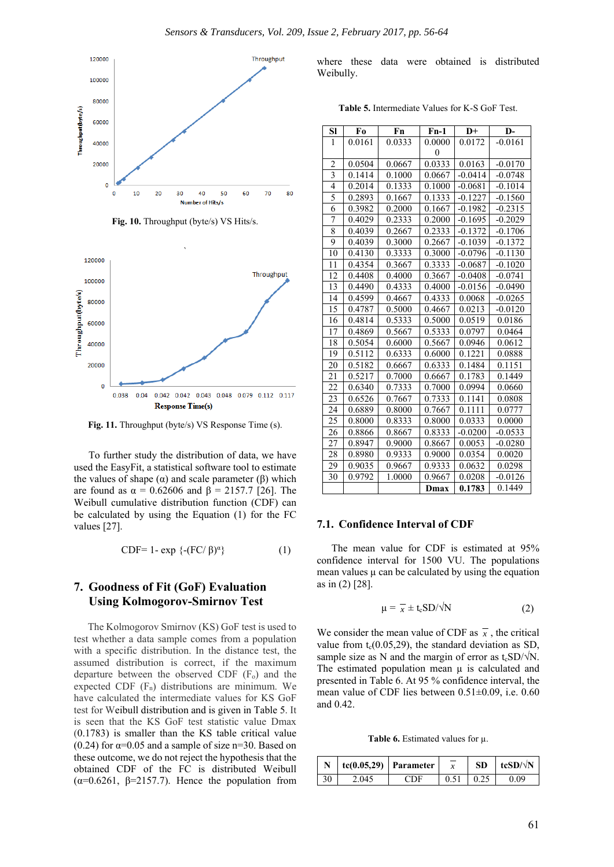



**Fig. 10.** Throughput (byte/s) VS Hits/s.

Fig. 11. Throughput (byte/s) VS Response Time (s).

To further study the distribution of data, we have used the EasyFit, a statistical software tool to estimate the values of shape  $(α)$  and scale parameter  $(β)$  which are found as  $\alpha = 0.62606$  and  $\beta = 2157.7$  [26]. The Weibull cumulative distribution function (CDF) can be calculated by using the Equation (1) for the FC values [27].

$$
CDF=1-\exp \{-(FC/\beta)^{\alpha}\}\tag{1}
$$

# **7. Goodness of Fit (GoF) Evaluation Using Kolmogorov-Smirnov Test**

The Kolmogorov Smirnov (KS) GoF test is used to test whether a data sample comes from a population with a specific distribution. In the distance test, the assumed distribution is correct, if the maximum departure between the observed CDF (F<sub>o</sub>) and the expected CDF  $(F_n)$  distributions are minimum. We have calculated the intermediate values for KS GoF test for Weibull distribution and is given in Table 5. It is seen that the KS GoF test statistic value Dmax (0.1783) is smaller than the KS table critical value (0.24) for  $\alpha$ =0.05 and a sample of size n=30. Based on these outcome, we do not reject the hypothesis that the obtained CDF of the FC is distributed Weibull ( $\alpha$ =0.6261,  $\beta$ =2157.7). Hence the population from where these data were obtained is distributed Weibully.

**Table 5.** Intermediate Values for K-S GoF Test.

| Sl             | Fo     | Fn     | $Fn-1$   | $D+$      | D-        |
|----------------|--------|--------|----------|-----------|-----------|
| 1              | 0.0161 | 0.0333 | 0.0000   | 0.0172    | $-0.0161$ |
|                |        |        | $\theta$ |           |           |
| $\overline{2}$ | 0.0504 | 0.0667 | 0.0333   | 0.0163    | $-0.0170$ |
| $\overline{3}$ | 0.1414 | 0.1000 | 0.0667   | $-0.0414$ | $-0.0748$ |
| 4              | 0.2014 | 0.1333 | 0.1000   | $-0.0681$ | $-0.1014$ |
| $\overline{5}$ | 0.2893 | 0.1667 | 0.1333   | $-0.1227$ | $-0.1560$ |
| 6              | 0.3982 | 0.2000 | 0.1667   | $-0.1982$ | $-0.2315$ |
| 7              | 0.4029 | 0.2333 | 0.2000   | $-0.1695$ | $-0.2029$ |
| 8              | 0.4039 | 0.2667 | 0.2333   | $-0.1372$ | $-0.1706$ |
| 9              | 0.4039 | 0.3000 | 0.2667   | $-0.1039$ | $-0.1372$ |
| 10             | 0.4130 | 0.3333 | 0.3000   | $-0.0796$ | $-0.1130$ |
| 11             | 0.4354 | 0.3667 | 0.3333   | $-0.0687$ | $-0.1020$ |
| 12             | 0.4408 | 0.4000 | 0.3667   | $-0.0408$ | $-0.0741$ |
| 13             | 0.4490 | 0.4333 | 0.4000   | $-0.0156$ | $-0.0490$ |
| 14             | 0.4599 | 0.4667 | 0.4333   | 0.0068    | $-0.0265$ |
| 15             | 0.4787 | 0.5000 | 0.4667   | 0.0213    | $-0.0120$ |
| 16             | 0.4814 | 0.5333 | 0.5000   | 0.0519    | 0.0186    |
| 17             | 0.4869 | 0.5667 | 0.5333   | 0.0797    | 0.0464    |
| 18             | 0.5054 | 0.6000 | 0.5667   | 0.0946    | 0.0612    |
| 19             | 0.5112 | 0.6333 | 0.6000   | 0.1221    | 0.0888    |
| 20             | 0.5182 | 0.6667 | 0.6333   | 0.1484    | 0.1151    |
| 21             | 0.5217 | 0.7000 | 0.6667   | 0.1783    | 0.1449    |
| 22             | 0.6340 | 0.7333 | 0.7000   | 0.0994    | 0.0660    |
| 23             | 0.6526 | 0.7667 | 0.7333   | 0.1141    | 0.0808    |
| 24             | 0.6889 | 0.8000 | 0.7667   | 0.1111    | 0.0777    |
| 25             | 0.8000 | 0.8333 | 0.8000   | 0.0333    | 0.0000    |
| 26             | 0.8866 | 0.8667 | 0.8333   | $-0.0200$ | $-0.0533$ |
| 27             | 0.8947 | 0.9000 | 0.8667   | 0.0053    | $-0.0280$ |
| 28             | 0.8980 | 0.9333 | 0.9000   | 0.0354    | 0.0020    |
| 29             | 0.9035 | 0.9667 | 0.9333   | 0.0632    | 0.0298    |
| 30             | 0.9792 | 1.0000 | 0.9667   | 0.0208    | $-0.0126$ |
|                |        |        | Dmax     | 0.1783    | 0.1449    |

#### **7.1. Confidence Interval of CDF**

The mean value for CDF is estimated at 95% confidence interval for 1500 VU. The populations mean values  $\mu$  can be calculated by using the equation as in (2) [28].

$$
\mu = \overline{x} \pm t_c S D / \sqrt{N} \tag{2}
$$

We consider the mean value of CDF as  $\overline{x}$ , the critical value from  $t_c(0.05,29)$ , the standard deviation as SD, sample size as N and the margin of error as  $t_cSD/\sqrt{N}$ . The estimated population mean  $\mu$  is calculated and presented in Table 6. At 95 % confidence interval, the mean value of CDF lies between 0.51±0.09, i.e. 0.60 and 0.42.

**Table 6.** Estimated values for µ.

|       | $tc(0.05,29)$ Parameter | <b>SD</b> | tcSD/ $\sqrt{N}$ |
|-------|-------------------------|-----------|------------------|
| 2.045 | H 1 F                   | 0.25      | 0.09             |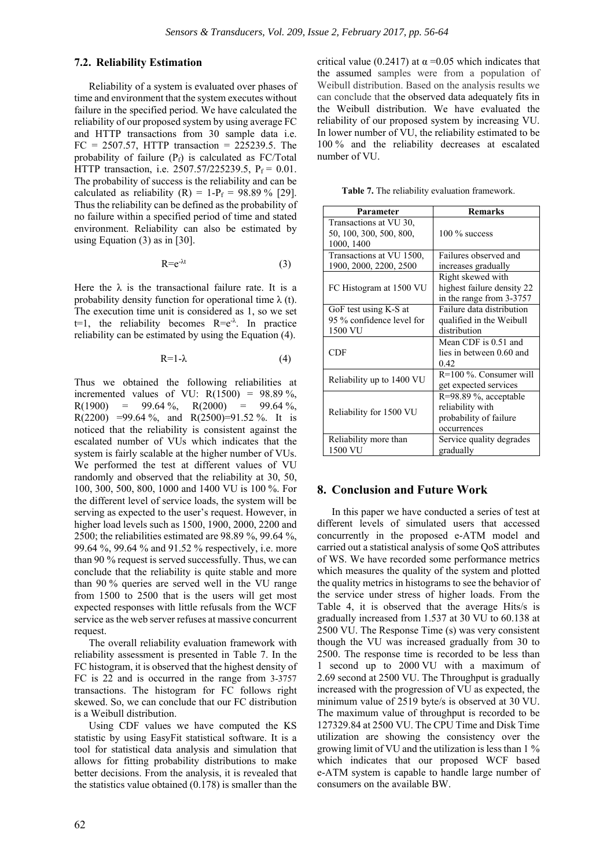### **7.2. Reliability Estimation**

Reliability of a system is evaluated over phases of time and environment that the system executes without failure in the specified period. We have calculated the reliability of our proposed system by using average FC and HTTP transactions from 30 sample data i.e.  $FC = 2507.57$ , HTTP transaction = 225239.5. The probability of failure  $(P_f)$  is calculated as FC/Total HTTP transaction, i.e. 2507.57/225239.5, P<sub>f</sub> = 0.01. The probability of success is the reliability and can be calculated as reliability  $(R) = 1-P_f = 98.89\%$  [29]. Thus the reliability can be defined as the probability of no failure within a specified period of time and stated environment. Reliability can also be estimated by using Equation (3) as in [30].

$$
Re^{-\lambda t} \tag{3}
$$

Here the  $\lambda$  is the transactional failure rate. It is a probability density function for operational time  $\lambda$  (t). The execution time unit is considered as 1, so we set  $t=1$ , the reliability becomes  $R=e^{-\lambda}$ . In practice reliability can be estimated by using the Equation (4).

$$
R=1-\lambda \tag{4}
$$

Thus we obtained the following reliabilities at incremented values of VU:  $R(1500) = 98.89\%$ ,  $R(1900) = 99.64\%$ ,  $R(2000) = 99.64\%$ , R(2200) =99.64 %, and R(2500)=91.52 %. It is noticed that the reliability is consistent against the escalated number of VUs which indicates that the system is fairly scalable at the higher number of VUs. We performed the test at different values of VU randomly and observed that the reliability at 30, 50, 100, 300, 500, 800, 1000 and 1400 VU is 100 %. For the different level of service loads, the system will be serving as expected to the user's request. However, in higher load levels such as 1500, 1900, 2000, 2200 and 2500; the reliabilities estimated are 98.89 %, 99.64 %, 99.64 %, 99.64 % and 91.52 % respectively, i.e. more than 90 % request is served successfully. Thus, we can conclude that the reliability is quite stable and more than 90 % queries are served well in the VU range from 1500 to 2500 that is the users will get most expected responses with little refusals from the WCF service as the web server refuses at massive concurrent request.

The overall reliability evaluation framework with reliability assessment is presented in Table 7. In the FC histogram, it is observed that the highest density of FC is 22 and is occurred in the range from 3-3757 transactions. The histogram for FC follows right skewed. So, we can conclude that our FC distribution is a Weibull distribution.

Using CDF values we have computed the KS statistic by using EasyFit statistical software. It is a tool for statistical data analysis and simulation that allows for fitting probability distributions to make better decisions. From the analysis, it is revealed that the statistics value obtained (0.178) is smaller than the

critical value (0.2417) at  $\alpha$  =0.05 which indicates that the assumed samples were from a population of Weibull distribution. Based on the analysis results we can conclude that the observed data adequately fits in the Weibull distribution. We have evaluated the reliability of our proposed system by increasing VU. In lower number of VU, the reliability estimated to be 100 % and the reliability decreases at escalated number of VU.

**Table 7.** The reliability evaluation framework.

| Parameter                                                       | <b>Remarks</b>                                                                       |  |  |
|-----------------------------------------------------------------|--------------------------------------------------------------------------------------|--|--|
| Transactions at VU 30,<br>50, 100, 300, 500, 800,<br>1000, 1400 | 100 % success                                                                        |  |  |
| Transactions at VU 1500,<br>1900, 2000, 2200, 2500              | Failures observed and<br>increases gradually                                         |  |  |
| FC Histogram at 1500 VU                                         | Right skewed with<br>highest failure density 22<br>in the range from 3-3757          |  |  |
| GoF test using K-S at<br>95 % confidence level for<br>1500 VU   | Failure data distribution<br>qualified in the Weibull<br>distribution                |  |  |
| <b>CDF</b>                                                      | Mean CDF is 0.51 and<br>lies in between 0.60 and<br>0.42                             |  |  |
| Reliability up to 1400 VU                                       | $R=100\%$ . Consumer will<br>get expected services                                   |  |  |
| Reliability for 1500 VU                                         | $R=98.89$ %, acceptable<br>reliability with<br>probability of failure<br>occurrences |  |  |
| Reliability more than<br>1500 VU                                | Service quality degrades<br>gradually                                                |  |  |

#### **8. Conclusion and Future Work**

In this paper we have conducted a series of test at different levels of simulated users that accessed concurrently in the proposed e-ATM model and carried out a statistical analysis of some QoS attributes of WS. We have recorded some performance metrics which measures the quality of the system and plotted the quality metrics in histograms to see the behavior of the service under stress of higher loads. From the Table 4, it is observed that the average Hits/s is gradually increased from 1.537 at 30 VU to 60.138 at 2500 VU. The Response Time (s) was very consistent though the VU was increased gradually from 30 to 2500. The response time is recorded to be less than 1 second up to 2000 VU with a maximum of 2.69 second at 2500 VU. The Throughput is gradually increased with the progression of VU as expected, the minimum value of 2519 byte/s is observed at 30 VU. The maximum value of throughput is recorded to be 127329.84 at 2500 VU. The CPU Time and Disk Time utilization are showing the consistency over the growing limit of VU and the utilization is less than 1 % which indicates that our proposed WCF based e-ATM system is capable to handle large number of consumers on the available BW.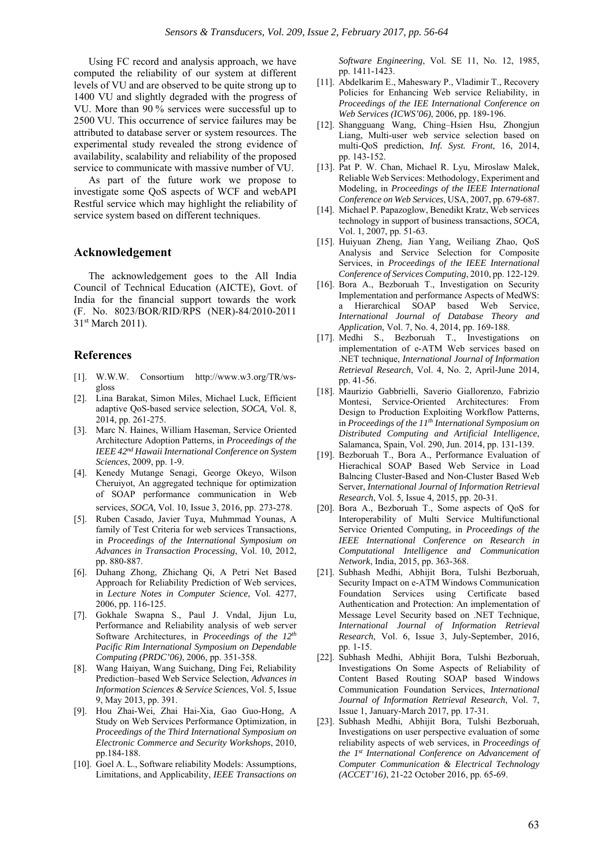Using FC record and analysis approach, we have computed the reliability of our system at different levels of VU and are observed to be quite strong up to 1400 VU and slightly degraded with the progress of VU. More than 90 % services were successful up to 2500 VU. This occurrence of service failures may be attributed to database server or system resources. The experimental study revealed the strong evidence of availability, scalability and reliability of the proposed service to communicate with massive number of VU.

As part of the future work we propose to investigate some QoS aspects of WCF and webAPI Restful service which may highlight the reliability of service system based on different techniques.

#### **Acknowledgement**

The acknowledgement goes to the All India Council of Technical Education (AICTE), Govt. of India for the financial support towards the work (F. No. 8023/BOR/RID/RPS (NER)-84/2010-2011 31st March 2011).

#### **References**

- [1]. W.W.W. Consortium http://www.w3.org/TR/wsgloss
- [2]. Lina Barakat, Simon Miles, Michael Luck, Efficient adaptive QoS-based service selection, *SOCA,* Vol. 8, 2014, pp. 261-275.
- [3]. Marc N. Haines, William Haseman, Service Oriented Architecture Adoption Patterns, in *Proceedings of the IEEE 42nd Hawaii International Conference on System Sciences*, 2009, pp. 1-9.
- [4]. Kenedy Mutange Senagi, George Okeyo, Wilson Cheruiyot, An aggregated technique for optimization of SOAP performance communication in Web services, *SOCA,* Vol. 10, Issue 3, 2016, pp. 273-278.
- [5]. Ruben Casado, Javier Tuya, Muhmmad Younas, A family of Test Criteria for web services Transactions, in *Proceedings of the International Symposium on Advances in Transaction Processing*, Vol. 10, 2012, pp. 880-887.
- [6]. Duhang Zhong, Zhichang Qi, A Petri Net Based Approach for Reliability Prediction of Web services, in *Lecture Notes in Computer Science*, Vol. 4277, 2006, pp. 116-125.
- [7]. Gokhale Swapna S., Paul J. Vndal, Jijun Lu, Performance and Reliability analysis of web server Software Architectures, in *Proceedings of the 12th Pacific Rim International Symposium on Dependable Computing (PRDC'06)*, 2006, pp. 351-358.
- [8]. Wang Haiyan, Wang Suichang, Ding Fei, Reliability Prediction–based Web Service Selection, *Advances in Information Sciences & Service Sciences*, Vol. 5, Issue 9, May 2013, pp. 391.
- [9]. Hou Zhai-Wei, Zhai Hai-Xia, Gao Guo-Hong, A Study on Web Services Performance Optimization, in *Proceedings of the Third International Symposium on Electronic Commerce and Security Workshops*, 2010, pp.184-188.
- [10]. Goel A. L., Software reliability Models: Assumptions, Limitations, and Applicability, *IEEE Transactions on*

*Software Engineering*, Vol. SE 11, No. 12, 1985, pp. 1411-1423.

- [11]. Abdelkarim E., Maheswary P., Vladimir T., Recovery Policies for Enhancing Web service Reliability, in *Proceedings of the IEE International Conference on Web Services (ICWS'06)*, 2006, pp. 189-196.
- [12]. Shangguang Wang, Ching–Hsien Hsu, Zhongjun Liang, Multi-user web service selection based on multi-QoS prediction, *Inf. Syst. Front*, 16, 2014, pp. 143-152.
- [13]. Pat P. W. Chan, Michael R. Lyu, Miroslaw Malek, Reliable Web Services: Methodology, Experiment and Modeling, in *Proceedings of the IEEE International Conference on Web Services*, USA, 2007, pp. 679-687.
- [14]. Michael P. Papazoglow, Benedikt Kratz, Web services technology in support of business transactions, *SOCA,*  Vol. 1, 2007, pp. 51-63.
- [15]. Huiyuan Zheng, Jian Yang, Weiliang Zhao, QoS Analysis and Service Selection for Composite Services, in *Proceedings of the IEEE International Conference of Services Computing*, 2010, pp. 122-129.
- [16]. Bora A., Bezboruah T., Investigation on Security Implementation and performance Aspects of MedWS: a Hierarchical SOAP based Web Service, *International Journal of Database Theory and Application*, Vol. 7, No. 4, 2014, pp. 169-188.
- [17]. Medhi S., Bezboruah T., Investigations on implementation of e-ATM Web services based on .NET technique, *International Journal of Information Retrieval Research*, Vol. 4, No. 2, April-June 2014, pp. 41-56.
- [18]. Maurizio Gabbrielli, Saverio Giallorenzo, Fabrizio Montesi, Service-Oriented Architectures: From Design to Production Exploiting Workflow Patterns, in *Proceedings of the 11th International Symposium on Distributed Computing and Artificial Intelligence*, Salamanca, Spain, Vol. 290, Jun. 2014, pp. 131-139.
- [19]. Bezboruah T., Bora A., Performance Evaluation of Hierachical SOAP Based Web Service in Load Balncing Cluster-Based and Non-Cluster Based Web Server, *International Journal of Information Retrieval Research*, Vol. 5, Issue 4, 2015, pp. 20-31.
- [20]. Bora A., Bezboruah T., Some aspects of QoS for Interoperability of Multi Service Multifunctional Service Oriented Computing, in *Proceedings of the IEEE International Conference on Research in Computational Intelligence and Communication Network*, India, 2015, pp. 363-368.
- [21]. Subhash Medhi, Abhijit Bora, Tulshi Bezboruah, Security Impact on e-ATM Windows Communication Foundation Services using Certificate based Authentication and Protection: An implementation of Message Level Security based on .NET Technique, *International Journal of Information Retrieval Research*, Vol. 6, Issue 3, July-September, 2016, pp. 1-15.
- [22]. Subhash Medhi, Abhijit Bora, Tulshi Bezboruah, Investigations On Some Aspects of Reliability of Content Based Routing SOAP based Windows Communication Foundation Services, *International Journal of Information Retrieval Research*, Vol. 7, Issue 1, January-March 2017, pp. 17-31.
- [23]. Subhash Medhi, Abhijit Bora, Tulshi Bezboruah, Investigations on user perspective evaluation of some reliability aspects of web services, in *Proceedings of the 1st International Conference on Advancement of Computer Communication & Electrical Technology (ACCET'16)*, 21-22 October 2016, pp. 65-69.